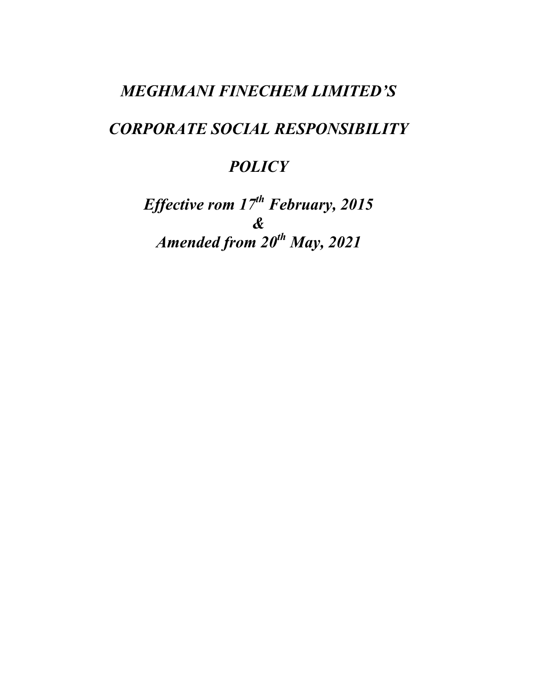## MEGHMANI FINECHEM LIMITED'S

# CORPORATE SOCIAL RESPONSIBILITY

## **POLICY**

Effective rom  $17^{th}$  February, 2015 & Amended from  $20^{th}$  May, 2021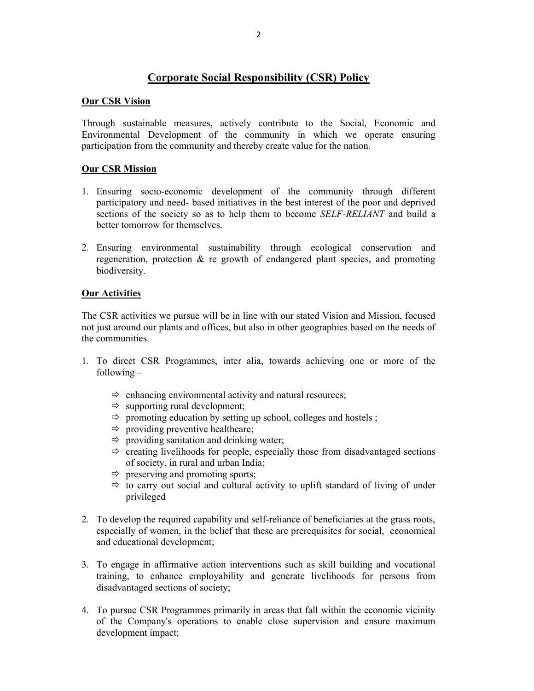## Corporate Social Responsibility (CSR) Policy

### Our CSR Vision

Through sustainable measures, actively contribute to the Social, Economic and Environmental Development of the community in which we operate ensuring participation from the community and thereby create value for the nation.

## Our CSR Mission

- 1. Ensuring socio-economic development of the community through different participatory and need- based initiatives in the best interest of the poor and deprived sections of the society so as to help them to become *SELF-RELIANT* and build a better tomorrow for themselves.
- 2. Ensuring environmental sustainability through ecological conservation and regeneration, protection & re growth of endangered plant species, and promoting biodiversity.

## Our Activities

The CSR activities we pursue will be in line with our stated Vision and Mission, focused not just around our plants and offices, but also in other geographies based on the needs of the communities.

- 1. To direct CSR Programmes, inter alia, towards achieving one or more of the following –
	- $\Rightarrow$  enhancing environmental activity and natural resources;
	- $\Rightarrow$  supporting rural development;
	- $\Rightarrow$  promoting education by setting up school, colleges and hostels ;
	- $\Rightarrow$  providing preventive healthcare;
	- $\Rightarrow$  providing sanitation and drinking water;
	- $\Rightarrow$  creating livelihoods for people, especially those from disadvantaged sections of society, in rural and urban India;
	- $\Rightarrow$  preserving and promoting sports;
	- $\Rightarrow$  to carry out social and cultural activity to uplift standard of living of under privileged
- 2. To develop the required capability and self-reliance of beneficiaries at the grass roots, especially of women, in the belief that these are prerequisites for social, economical and educational development;
- 3. To engage in affirmative action interventions such as skill building and vocational training, to enhance employability and generate livelihoods for persons from disadvantaged sections of society;
- 4. To pursue CSR Programmes primarily in areas that fall within the economic vicinity of the Company's operations to enable close supervision and ensure maximum development impact;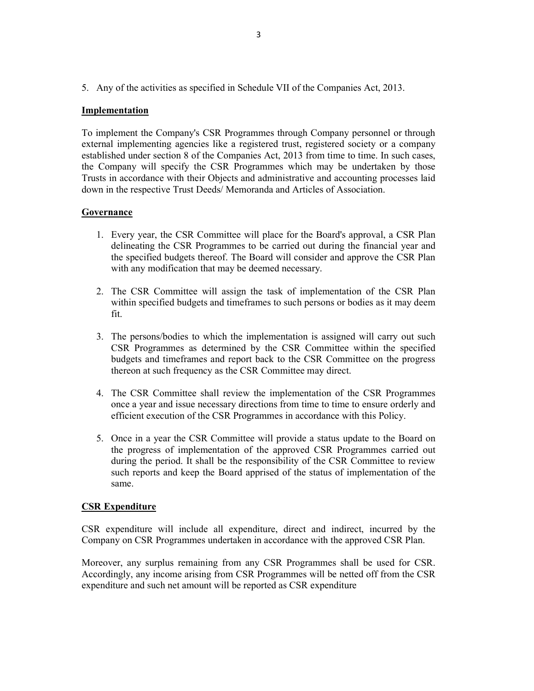5. Any of the activities as specified in Schedule VII of the Companies Act, 2013.

#### Implementation

To implement the Company's CSR Programmes through Company personnel or through external implementing agencies like a registered trust, registered society or a company established under section 8 of the Companies Act, 2013 from time to time. In such cases, the Company will specify the CSR Programmes which may be undertaken by those Trusts in accordance with their Objects and administrative and accounting processes laid down in the respective Trust Deeds/ Memoranda and Articles of Association.

#### Governance

- 1. Every year, the CSR Committee will place for the Board's approval, a CSR Plan delineating the CSR Programmes to be carried out during the financial year and the specified budgets thereof. The Board will consider and approve the CSR Plan with any modification that may be deemed necessary.
- 2. The CSR Committee will assign the task of implementation of the CSR Plan within specified budgets and timeframes to such persons or bodies as it may deem fit.
- 3. The persons/bodies to which the implementation is assigned will carry out such CSR Programmes as determined by the CSR Committee within the specified budgets and timeframes and report back to the CSR Committee on the progress thereon at such frequency as the CSR Committee may direct.
- 4. The CSR Committee shall review the implementation of the CSR Programmes once a year and issue necessary directions from time to time to ensure orderly and efficient execution of the CSR Programmes in accordance with this Policy.
- 5. Once in a year the CSR Committee will provide a status update to the Board on the progress of implementation of the approved CSR Programmes carried out during the period. It shall be the responsibility of the CSR Committee to review such reports and keep the Board apprised of the status of implementation of the same.

#### CSR Expenditure

CSR expenditure will include all expenditure, direct and indirect, incurred by the Company on CSR Programmes undertaken in accordance with the approved CSR Plan.

Moreover, any surplus remaining from any CSR Programmes shall be used for CSR. Accordingly, any income arising from CSR Programmes will be netted off from the CSR expenditure and such net amount will be reported as CSR expenditure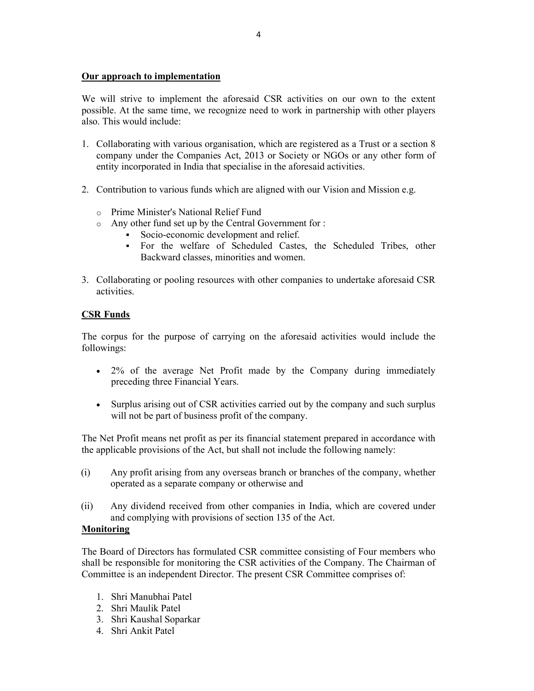## Our approach to implementation

We will strive to implement the aforesaid CSR activities on our own to the extent possible. At the same time, we recognize need to work in partnership with other players also. This would include:

- 1. Collaborating with various organisation, which are registered as a Trust or a section 8 company under the Companies Act, 2013 or Society or NGOs or any other form of entity incorporated in India that specialise in the aforesaid activities.
- 2. Contribution to various funds which are aligned with our Vision and Mission e.g.
	- o Prime Minister's National Relief Fund
	- o Any other fund set up by the Central Government for :
		- Socio-economic development and relief.
		- For the welfare of Scheduled Castes, the Scheduled Tribes, other Backward classes, minorities and women.
- 3. Collaborating or pooling resources with other companies to undertake aforesaid CSR activities.

## CSR Funds

The corpus for the purpose of carrying on the aforesaid activities would include the followings:

- 2% of the average Net Profit made by the Company during immediately preceding three Financial Years.
- Surplus arising out of CSR activities carried out by the company and such surplus will not be part of business profit of the company.

The Net Profit means net profit as per its financial statement prepared in accordance with the applicable provisions of the Act, but shall not include the following namely:

- (i) Any profit arising from any overseas branch or branches of the company, whether operated as a separate company or otherwise and
- (ii) Any dividend received from other companies in India, which are covered under and complying with provisions of section 135 of the Act.

### Monitoring

The Board of Directors has formulated CSR committee consisting of Four members who shall be responsible for monitoring the CSR activities of the Company. The Chairman of Committee is an independent Director. The present CSR Committee comprises of:

- 1. Shri Manubhai Patel
- 2. Shri Maulik Patel
- 3. Shri Kaushal Soparkar
- 4. Shri Ankit Patel